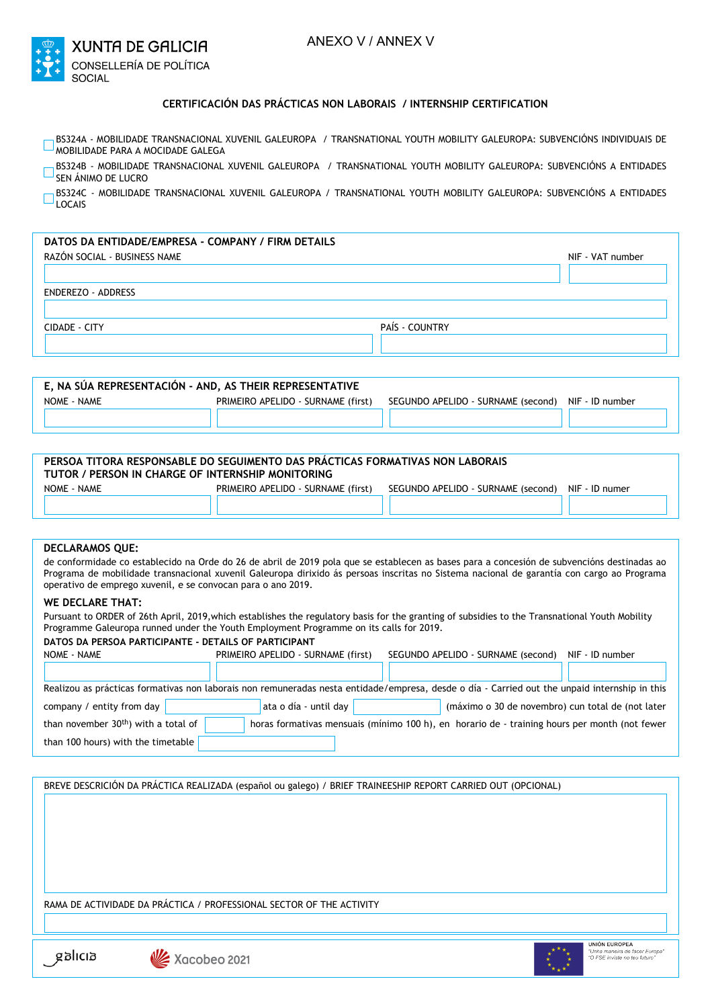

## **CERTIFICACIÓN DAS PRÁCTICAS NON LABORAIS / INTERNSHIP CERTIFICATION**

- BS324A MOBILIDADE TRANSNACIONAL XUVENIL GALEUROPA / TRANSNATIONAL YOUTH MOBILITY GALEUROPA: SUBVENCIÓNS INDIVIDUAIS DE  $\Box$ MOBILIDADE PARA A MOCIDADE GALEGA
- BS324B MOBILIDADE TRANSNACIONAL XUVENIL GALEUROPA / TRANSNATIONAL YOUTH MOBILITY GALEUROPA: SUBVENCIÓNS A ENTIDADES Г SEN ÁNIMO DE LUCRO

BS324C - MOBILIDADE TRANSNACIONAL XUVENIL GALEUROPA / TRANSNATIONAL YOUTH MOBILITY GALEUROPA: SUBVENCIÓNS A ENTIDADES LOCAIS

| DATOS DA ENTIDADE/EMPRESA - COMPANY / FIRM DETAILS |                |                  |
|----------------------------------------------------|----------------|------------------|
| RAZÓN SOCIAL - BUSINESS NAME                       |                | NIF - VAT number |
|                                                    |                |                  |
| ENDEREZO - ADDRESS                                 |                |                  |
| CIDADE - CITY                                      | PAÍS - COUNTRY |                  |
|                                                    |                |                  |

| E. NA SÚA REPRESENTACIÓN - AND. AS THEIR REPRESENTATIVE |                                    |                                                    |  |
|---------------------------------------------------------|------------------------------------|----------------------------------------------------|--|
| NOME - NAME                                             | PRIMEIRO APELIDO - SURNAME (first) | SEGUNDO APELIDO - SURNAME (second) NIF - ID number |  |
|                                                         |                                    |                                                    |  |
|                                                         |                                    |                                                    |  |

| PERSOA TITORA RESPONSABLE DO SEGUIMENTO DAS PRÁCTICAS FORMATIVAS NON LABORAIS<br>TUTOR / PERSON IN CHARGE OF INTERNSHIP MONITORING |                                    |                                    |                |
|------------------------------------------------------------------------------------------------------------------------------------|------------------------------------|------------------------------------|----------------|
| NOME - NAME                                                                                                                        | PRIMEIRO APELIDO - SURNAME (first) | SEGUNDO APELIDO - SURNAME (second) | NIF - ID numer |
|                                                                                                                                    |                                    |                                    |                |

## **DECLARAMOS QUE:**

de conformidade co establecido na Orde do 26 de abril de 2019 pola que se establecen as bases para a concesión de subvencións destinadas ao Programa de mobilidade transnacional xuvenil Galeuropa dirixido ás persoas inscritas no Sistema nacional de garantía con cargo ao Programa operativo de emprego xuvenil, e se convocan para o ano 2019.

## **WE DECLARE THAT:**

Pursuant to ORDER of 26th April, 2019,which establishes the regulatory basis for the granting of subsidies to the Transnational Youth Mobility Programme Galeuropa runned under the Youth Employment Programme on its calls for 2019.

|  |  | DATOS DA PERSOA PARTICIPANTE - DETAILS OF PARTICIPANT |  |  |
|--|--|-------------------------------------------------------|--|--|
|--|--|-------------------------------------------------------|--|--|

| NOME - NAME                                                                                                                                   | PRIMEIRO APELIDO - SURNAME (first)                                                            | SEGUNDO APELIDO - SURNAME (second)                | NIF - ID number |  |
|-----------------------------------------------------------------------------------------------------------------------------------------------|-----------------------------------------------------------------------------------------------|---------------------------------------------------|-----------------|--|
|                                                                                                                                               |                                                                                               |                                                   |                 |  |
| Realizou as prácticas formativas non laborais non remuneradas nesta entidade/empresa, desde o día - Carried out the unpaid internship in this |                                                                                               |                                                   |                 |  |
| company / entity from day                                                                                                                     | ata o día - until day                                                                         | (máximo o 30 de novembro) cun total de (not later |                 |  |
| than november 30 <sup>th</sup> ) with a total of                                                                                              | horas formativas mensuais (mínimo 100 h), en horario de - training hours per month (not fewer |                                                   |                 |  |
| than 100 hours) with the timetable                                                                                                            |                                                                                               |                                                   |                 |  |

BREVE DESCRICIÓN DA PRÁCTICA REALIZADA (español ou galego) / BRIEF TRAINEESHIP REPORT CARRIED OUT (OPCIONAL)

RAMA DE ACTIVIDADE DA PRÁCTICA / PROFESSIONAL SECTOR OF THE ACTIVITY